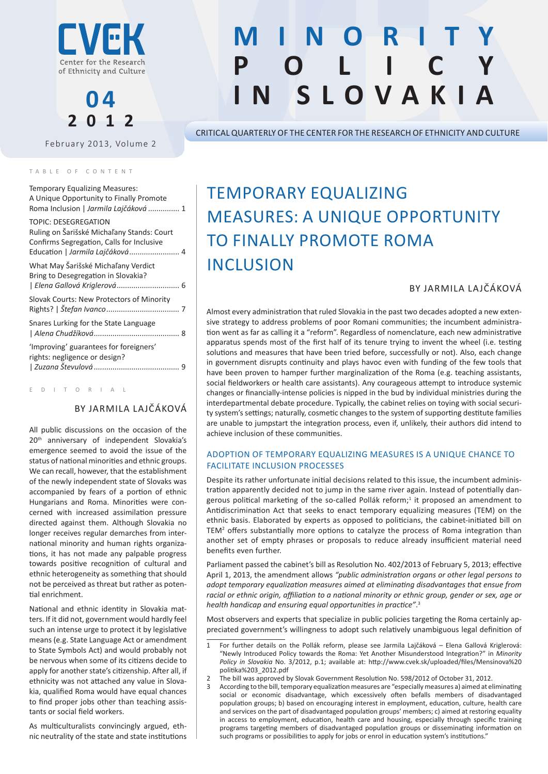

# **0 4 2012**

February 2013, Volume 2

#### TABLE OF CONTENT

| <b>Temporary Equalizing Measures:</b><br>A Unique Opportunity to Finally Promote<br>Roma Inclusion   Jarmila Lajčáková  1 |  |
|---------------------------------------------------------------------------------------------------------------------------|--|
| TOPIC: DESEGREGATION<br>Ruling on Šarišské Michaľany Stands: Court<br>Confirms Segregation, Calls for Inclusive           |  |
| What May Šarišské Michaľany Verdict<br>Bring to Desegregation in Slovakia?                                                |  |
| Slovak Courts: New Protectors of Minority                                                                                 |  |
| Snares Lurking for the State Language                                                                                     |  |
| 'Improving' guarantees for foreigners'<br>rights: negligence or design?                                                   |  |

E D I T O R I A L

# By Jarmila Lajčáková

All public discussions on the occasion of the 20<sup>th</sup> anniversary of independent Slovakia's emergence seemed to avoid the issue of the status of national minorities and ethnic groups. We can recall, however, that the establishment of the newly independent state of Slovaks was accompanied by fears of a portion of ethnic Hungarians and Roma. Minorities were concerned with increased assimilation pressure directed against them. Although Slovakia no longer receives regular demarches from international minority and human rights organizations, it has not made any palpable progress towards positive recognition of cultural and ethnic heterogeneity as something that should not be perceived as threat but rather as potential enrichment.

National and ethnic identity in Slovakia matters. If it did not, government would hardly feel such an intense urge to protect it by legislative means (e.g. State Language Act or amendment to State Symbols Act) and would probably not be nervous when some of its citizens decide to apply for another state's citizenship. After all, if ethnicity was not attached any value in Slovakia, qualified Roma would have equal chances to find proper jobs other than teaching assistants or social field workers.

As multiculturalists convincingly argued, ethnic neutrality of the state and state institutions

# **M i n o r i t y P**  $L$   $C$ **in Slovakia**

Critical Quarterly of the Center for the Research of Ethnicity and Culture

# Temporary Equalizing Measures: A Unique Opportunity to Finally Promote Roma **INCLUSION**

# By Jarmila Lajčáková

Almost every administration that ruled Slovakia in the past two decades adopted a new extensive strategy to address problems of poor Romani communities; the incumbent administration went as far as calling it a "reform". Regardless of nomenclature, each new administrative apparatus spends most of the first half of its tenure trying to invent the wheel (i.e. testing solutions and measures that have been tried before, successfully or not). Also, each change in government disrupts continuity and plays havoc even with funding of the few tools that have been proven to hamper further marginalization of the Roma (e.g. teaching assistants, social fieldworkers or health care assistants). Any courageous attempt to introduce systemic changes or financially-intense policies is nipped in the bud by individual ministries during the interdepartmental debate procedure. Typically, the cabinet relies on toying with social security system's settings; naturally, cosmetic changes to the system of supporting destitute families are unable to jumpstart the integration process, even if, unlikely, their authors did intend to achieve inclusion of these communities.

# Adoption of Temporary Equalizing Measures Is a Unique Chance to Facilitate Inclusion Processes

Despite its rather unfortunate initial decisions related to this issue, the incumbent administration apparently decided not to jump in the same river again. Instead of potentially dangerous political marketing of the so-called Pollák reform;<sup>1</sup> it proposed an amendment to Antidiscrimination Act that seeks to enact temporary equalizing measures (TEM) on the ethnic basis. Elaborated by experts as opposed to politicians, the cabinet-initiated bill on TEM<sup>2</sup> offers substantially more options to catalyze the process of Roma integration than another set of empty phrases or proposals to reduce already insufficient material need benefits even further.

Parliament passed the cabinet's bill as Resolution No. 402/2013 of February 5, 2013; effective April 1, 2013, the amendment allows *"public administration organs or other legal persons to adopt temporary equalization measures aimed at eliminating disadvantages that ensue from racial or ethnic origin, affiliation to a national minority or ethnic group, gender or sex, age or health handicap and ensuring equal opportunities in practice"*. 3

Most observers and experts that specialize in public policies targeting the Roma certainly appreciated government's willingness to adopt such relatively unambiguous legal definition of

<sup>1</sup> For further details on the Pollák reform, please see Jarmila Lajčáková – Elena Gallová Kriglerová: "Newly Introduced Policy towards the Roma: Yet Another Misunderstood Integration?" in *Minority Policy in Slovakia* No. 3/2012, p.1; available at: http://www.cvek.sk/uploaded/files/Mensinova%20 politika%203\_2012.pdf

<sup>2</sup> The bill was approved by Slovak Government Resolution No. 598/2012 of October 31, 2012.

<sup>3</sup> According to the bill, temporary equalization measures are "especially measures a) aimed at eliminating social or economic disadvantage, which excessively often befalls members of disadvantaged population groups; b) based on encouraging interest in employment, education, culture, health care and services on the part of disadvantaged population groups' members; c) aimed at restoring equality in access to employment, education, health care and housing, especially through specific training programs targeting members of disadvantaged population groups or disseminating information on such programs or possibilities to apply for jobs or enrol in education system's institutions."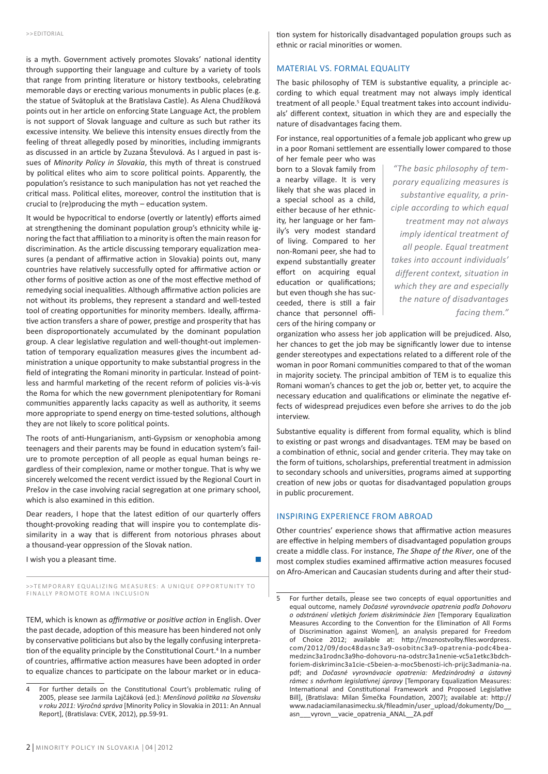is a myth. Government actively promotes Slovaks' national identity through supporting their language and culture by a variety of tools that range from printing literature or history textbooks, celebrating memorable days or erecting various monuments in public places (e.g. the statue of Svätopluk at the Bratislava Castle). As Alena Chudžíková points out in her article on enforcing State Language Act, the problem is not support of Slovak language and culture as such but rather its excessive intensity. We believe this intensity ensues directly from the feeling of threat allegedly posed by minorities, including immigrants as discussed in an article by Zuzana Števulová. As I argued in past issues of *Minority Policy in Slovakia*, this myth of threat is construed by political elites who aim to score political points. Apparently, the population's resistance to such manipulation has not yet reached the critical mass. Political elites, moreover, control the institution that is crucial to (re)producing the myth – education system.

It would be hypocritical to endorse (overtly or latently) efforts aimed at strengthening the dominant population group's ethnicity while ignoring the fact that affiliation to a minority is often the main reason for discrimination. As the article discussing temporary equalization measures (a pendant of affirmative action in Slovakia) points out, many countries have relatively successfully opted for affirmative action or other forms of positive action as one of the most effective method of remedying social inequalities. Although affirmative action policies are not without its problems, they represent a standard and well-tested tool of creating opportunities for minority members. Ideally, affirmative action transfers a share of power, prestige and prosperity that has been disproportionately accumulated by the dominant population group. A clear legislative regulation and well-thought-out implementation of temporary equalization measures gives the incumbent administration a unique opportunity to make substantial progress in the field of integrating the Romani minority in particular. Instead of pointless and harmful marketing of the recent reform of policies vis-à-vis the Roma for which the new government plenipotentiary for Romani communities apparently lacks capacity as well as authority, it seems more appropriate to spend energy on time-tested solutions, although they are not likely to score political points.

The roots of anti-Hungarianism, anti-Gypsism or xenophobia among teenagers and their parents may be found in education system's failure to promote perception of all people as equal human beings regardless of their complexion, name or mother tongue. That is why we sincerely welcomed the recent verdict issued by the Regional Court in Prešov in the case involving racial segregation at one primary school, which is also examined in this edition.

Dear readers, I hope that the latest edition of our quarterly offers thought-provoking reading that will inspire you to contemplate dissimilarity in a way that is different from notorious phrases about a thousand-year oppression of the Slovak nation.

I wish you a pleasant time.

>>TEMPORARY EQUALIZING MEASURES: A UNIQUE OPPORTUNITY TO FINALLY PROMOTE ROMA INCLUSION

TEM, which is known as *affirmative* or *positive action* in English. Over the past decade, adoption of this measure has been hindered not only by conservative politicians but also by the legally confusing interpretation of the equality principle by the Constitutional Court.<sup>4</sup> In a number of countries, affirmative action measures have been adopted in order to equalize chances to participate on the labour market or in education system for historically disadvantaged population groups such as ethnic or racial minorities or women.

#### Material vs. Formal Equality

The basic philosophy of TEM is substantive equality, a principle according to which equal treatment may not always imply identical treatment of all people.<sup>5</sup> Equal treatment takes into account individuals' different context, situation in which they are and especially the nature of disadvantages facing them.

For instance, real opportunities of a female job applicant who grew up in a poor Romani settlement are essentially lower compared to those

of her female peer who was born to a Slovak family from a nearby village. It is very likely that she was placed in a special school as a child, either because of her ethnicity, her language or her family's very modest standard of living. Compared to her non-Romani peer, she had to expend substantially greater effort on acquiring equal education or qualifications; but even though she has succeeded, there is still a fair chance that personnel officers of the hiring company or

*"The basic philosophy of temporary equalizing measures is substantive equality, a principle according to which equal treatment may not always imply identical treatment of all people. Equal treatment takes into account individuals' different context, situation in which they are and especially the nature of disadvantages facing them."* 

organization who assess her job application will be prejudiced. Also, her chances to get the job may be significantly lower due to intense gender stereotypes and expectations related to a different role of the woman in poor Romani communities compared to that of the woman in majority society. The principal ambition of TEM is to equalize this Romani woman's chances to get the job or, better yet, to acquire the necessary education and qualifications or eliminate the negative effects of widespread prejudices even before she arrives to do the job interview.

Substantive equality is different from formal equality, which is blind to existing or past wrongs and disadvantages. TEM may be based on a combination of ethnic, social and gender criteria. They may take on the form of tuitions, scholarships, preferential treatment in admission to secondary schools and universities, programs aimed at supporting creation of new jobs or quotas for disadvantaged population groups in public procurement.

### Inspiring Experience from Abroad

Other countries' experience shows that affirmative action measures are effective in helping members of disadvantaged population groups create a middle class. For instance, *The Shape of the River*, one of the most complex studies examined affirmative action measures focused on Afro-American and Caucasian students during and after their stud-

<sup>4</sup> For further details on the Constitutional Court's problematic ruling of 2005, please see Jarmila Lajčáková (ed.): *Menšinová politika na Slovensku v roku 2011: Výročná správa* [Minority Policy in Slovakia in 2011: An Annual Report], (Bratislava: CVEK, 2012), pp.59-91.

<sup>5</sup> For further details, please see two concepts of equal opportunities and equal outcome, namely *Dočasné vyrovnávacie opatrenia podľa Dohovoru o odstránení všetkých foriem diskriminácie žien* [Temporary Equalization Measures According to the Convention for the Elimination of All Forms of Discrimination against Women], an analysis prepared for Freedom of Choice 2012; available at: http://moznostvolby.files.wordpress. com/2012/09/doc48dasnc3a9-osobitnc3a9-opatrenia-podc4beamedzinc3a1rodnc3a9ho-dohovoru-na-odstrc3a1nenie-vc5a1etkc3bdchforiem-diskriminc3a1cie-c5beien-a-moc5benosti-ich-prijc3admania-na. pdf; and *Dočasné vyrovnávacie opatrenia: Medzinárodný a ústavný rámec s návrhom legislatívnej úpravy* [Temporary Equalization Measures: International and Constitutional Framework and Proposed Legislative Bill], (Bratislava: Milan Šimečka Foundation, 2007); available at: http:// www.nadaciamilanasimecku.sk/fileadmin/user\_upload/dokumenty/Do\_\_ asn\_\_\_vyrovn\_\_vacie\_opatrenia\_ANAL\_\_ZA.pdf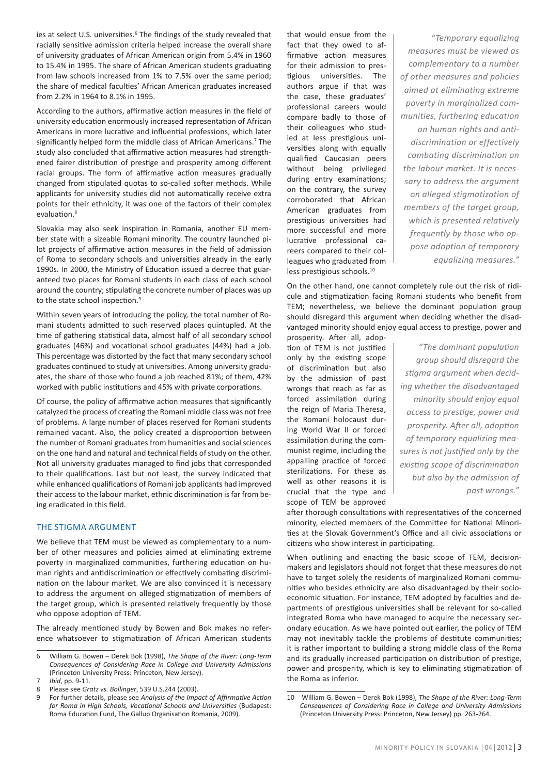ies at select U.S. universities.<sup>6</sup> The findings of the study revealed that racially sensitive admission criteria helped increase the overall share of university graduates of African American origin from 5.4% in 1960 to 15.4% in 1995. The share of African American students graduating from law schools increased from 1% to 7.5% over the same period; the share of medical faculties' African American graduates increased from 2.2% in 1964 to 8.1% in 1995.

According to the authors, affirmative action measures in the field of university education enormously increased representation of African Americans in more lucrative and influential professions, which later significantly helped form the middle class of African Americans.<sup>7</sup> The study also concluded that affirmative action measures had strengthened fairer distribution of prestige and prosperity among different racial groups. The form of affirmative action measures gradually changed from stipulated quotas to so-called softer methods. While applicants for university studies did not automatically receive extra points for their ethnicity, it was one of the factors of their complex evaluation.<sup>8</sup>

Slovakia may also seek inspiration in Romania, another EU member state with a sizeable Romani minority. The country launched pilot projects of affirmative action measures in the field of admission of Roma to secondary schools and universities already in the early 1990s. In 2000, the Ministry of Education issued a decree that guaranteed two places for Romani students in each class of each school around the country; stipulating the concrete number of places was up to the state school inspection.<sup>9</sup>

Within seven years of introducing the policy, the total number of Romani students admitted to such reserved places quintupled. At the time of gathering statistical data, almost half of all secondary school graduates (46%) and vocational school graduates (44%) had a job. This percentage was distorted by the fact that many secondary school graduates continued to study at universities. Among university graduates, the share of those who found a job reached 81%; of them, 42% worked with public institutions and 45% with private corporations.

Of course, the policy of affirmative action measures that significantly catalyzed the process of creating the Romani middle class was not free of problems. A large number of places reserved for Romani students remained vacant. Also, the policy created a disproportion between the number of Romani graduates from humanities and social sciences on the one hand and natural and technical fields of study on the other. Not all university graduates managed to find jobs that corresponded to their qualifications. Last but not least, the survey indicated that while enhanced qualifications of Romani job applicants had improved their access to the labour market, ethnic discrimination is far from being eradicated in this field.

### The Stigma Argument

We believe that TEM must be viewed as complementary to a number of other measures and policies aimed at eliminating extreme poverty in marginalized communities, furthering education on human rights and antidiscrimination or effectively combating discrimination on the labour market. We are also convinced it is necessary to address the argument on alleged stigmatization of members of the target group, which is presented relatively frequently by those who oppose adoption of TEM.

The already mentioned study by Bowen and Bok makes no reference whatsoever to stigmatization of African American students that would ensue from the fact that they owed to affirmative action measures for their admission to prestigious universities. The authors argue if that was the case, these graduates' professional careers would compare badly to those of their colleagues who studied at less prestigious universities along with equally qualified Caucasian peers without being privileged during entry examinations; on the contrary, the survey corroborated that African American graduates from prestigious universities had more successful and more lucrative professional careers compared to their colleagues who graduated from less prestigious schools.<sup>10</sup>

*"Temporary equalizing measures must be viewed as complementary to a number of other measures and policies aimed at eliminating extreme poverty in marginalized communities, furthering education on human rights and antidiscrimination or effectively combating discrimination on the labour market. It is necessary to address the argument on alleged stigmatization of members of the target group, which is presented relatively frequently by those who oppose adoption of temporary equalizing measures."*

On the other hand, one cannot completely rule out the risk of ridicule and stigmatization facing Romani students who benefit from TEM; nevertheless, we believe the dominant population group should disregard this argument when deciding whether the disadvantaged minority should enjoy equal access to prestige, power and

prosperity. After all, adoption of TEM is not justified only by the existing scope of discrimination but also by the admission of past wrongs that reach as far as forced assimilation during the reign of Maria Theresa, the Romani holocaust during World War II or forced assimilation during the communist regime, including the appalling practice of forced sterilizations. For these as well as other reasons it is crucial that the type and scope of TEM be approved

*"The dominant population group should disregard the stigma argument when deciding whether the disadvantaged minority should enjoy equal access to prestige, power and prosperity. After all, adoption of temporary equalizing measures is not justified only by the existing scope of discrimination but also by the admission of past wrongs."*

after thorough consultations with representatives of the concerned minority, elected members of the Committee for National Minorities at the Slovak Government's Office and all civic associations or citizens who show interest in participating.

When outlining and enacting the basic scope of TEM, decisionmakers and legislators should not forget that these measures do not have to target solely the residents of marginalized Romani communities who besides ethnicity are also disadvantaged by their socioeconomic situation. For instance, TEM adopted by faculties and departments of prestigious universities shall be relevant for so-called integrated Roma who have managed to acquire the necessary secondary education. As we have pointed out earlier, the policy of TEM may not inevitably tackle the problems of destitute communities; it is rather important to building a strong middle class of the Roma and its gradually increased participation on distribution of prestige, power and prosperity, which is key to eliminating stigmatization of the Roma as inferior.

<sup>6</sup> William G. Bowen – Derek Bok (1998), *The Shape of the River: Long-Term Consequences of Considering Race in College and University Admissions* (Princeton University Press: Princeton, New Jersey).

<sup>7</sup> *Ibid*, pp. 9-11.

<sup>8</sup> Please see *Gratz vs. Bollinger*, 539 U.S.244 (2003).

<sup>9</sup> For further details, please see *Analysis of the Impact of Affirmative Action for Roma in High Schools, Vocational Schools and Universities* (Budapest: Roma Education Fund, The Gallup Organisation Romania, 2009).

<sup>10</sup> William G. Bowen – Derek Bok (1998), *The Shape of the River: Long-Term Consequences of Considering Race in College and University Admissions* (Princeton University Press: Princeton, New Jersey) pp. 263-264.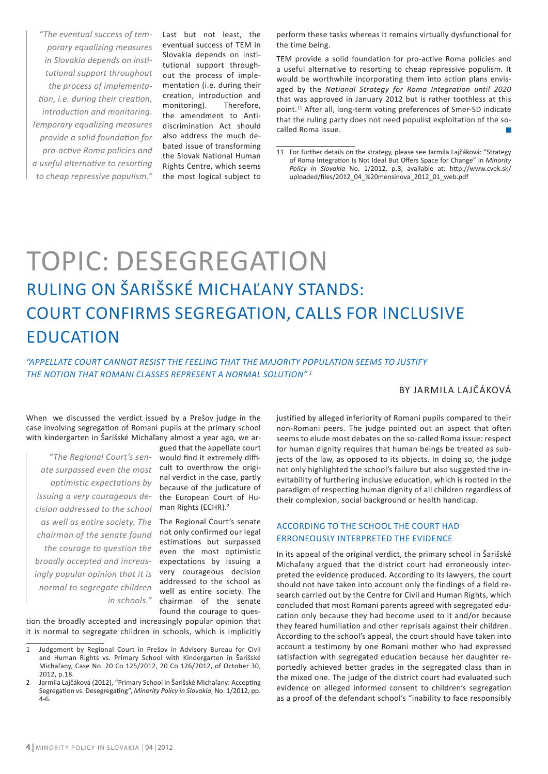*"The eventual success of temporary equalizing measures in Slovakia depends on institutional support throughout the process of implementation, i.e. during their creation, introduction and monitoring. Temporary equalizing measures provide a solid foundation for pro-active Roma policies and a useful alternative to resorting to cheap repressive populism."*

Last but not least, the eventual success of TEM in Slovakia depends on institutional support throughout the process of implementation (i.e. during their creation, introduction and monitoring). Therefore, the amendment to Antidiscrimination Act should also address the much debated issue of transforming the Slovak National Human Rights Centre, which seems the most logical subject to

perform these tasks whereas it remains virtually dysfunctional for the time being.

TEM provide a solid foundation for pro-active Roma policies and a useful alternative to resorting to cheap repressive populism. It would be worthwhile incorporating them into action plans envisaged by the *National Strategy for Roma Integration until 2020* that was approved in January 2012 but is rather toothless at this point.<sup>11</sup> After all, long-term voting preferences of Smer-SD indicate that the ruling party does not need populist exploitation of the socalled Roma issue.

# TOPIC: DESEGREGATION Ruling on Šarišské Michaľany Stands: Court Confirms Segregation, Calls for Inclusive **EDUCATION**

*"Appellate court cannot resist the feeling that the majority population seems to justify the notion that Romani classes represent a normal solution" 1*

# By Jarmila Lajčáková

When we discussed the verdict issued by a Prešov judge in the case involving segregation of Romani pupils at the primary school with kindergarten in Šarišské Michaľany almost a year ago, we ar-

*ate surpassed even the most optimistic expectations by issuing a very courageous decision addressed to the school as well as entire society. The chairman of the senate found the courage to question the broadly accepted and increasingly popular opinion that it is normal to segregate children in schools."*

*"The Regional Court's sen-*would find it extremely diffigued that the appellate court cult to overthrow the original verdict in the case, partly because of the judicature of the European Court of Human Rights (ECHR).<sup>2</sup>

> The Regional Court's senate not only confirmed our legal estimations but surpassed even the most optimistic expectations by issuing a very courageous decision addressed to the school as well as entire society. The chairman of the senate found the courage to ques-

tion the broadly accepted and increasingly popular opinion that it is normal to segregate children in schools, which is implicitly justified by alleged inferiority of Romani pupils compared to their non-Romani peers. The judge pointed out an aspect that often seems to elude most debates on the so-called Roma issue: respect for human dignity requires that human beings be treated as subjects of the law, as opposed to its objects. In doing so, the judge not only highlighted the school's failure but also suggested the inevitability of furthering inclusive education, which is rooted in the paradigm of respecting human dignity of all children regardless of their complexion, social background or health handicap.

# According to the School the Court Had Erroneously Interpreted the Evidence

In its appeal of the original verdict, the primary school in Šarišské Michaľany argued that the district court had erroneously interpreted the evidence produced. According to its lawyers, the court should not have taken into account only the findings of a field research carried out by the Centre for Civil and Human Rights, which concluded that most Romani parents agreed with segregated education only because they had become used to it and/or because they feared humiliation and other reprisals against their children. According to the school's appeal, the court should have taken into account a testimony by one Romani mother who had expressed satisfaction with segregated education because her daughter reportedly achieved better grades in the segregated class than in the mixed one. The judge of the district court had evaluated such evidence on alleged informed consent to children's segregation as a proof of the defendant school's "inability to face responsibly

<sup>11</sup> For further details on the strategy, please see Jarmila Lajčáková: "Strategy of Roma Integration Is Not Ideal But Offers Space for Change" in *Minority Policy in Slovakia* No. 1/2012, p.8; available at: http://www.cvek.sk/ uploaded/files/2012\_04\_%20mensinova\_2012\_01\_web.pdf

<sup>1</sup> Judgement by Regional Court in Prešov in Advisory Bureau for Civil and Human Rights vs. Primary School with Kindergarten in Šarišské Michaľany, Case No. 20 Co 125/2012, 20 Co 126/2012, of October 30, 2012, p.18.

<sup>2</sup> Jarmila Lajčáková (2012), "Primary School in Šarišské Michaľany: Accepting Segregation vs. Desegregating", *Minority Policy in Slovakia*, No. 1/2012, pp. 4-6.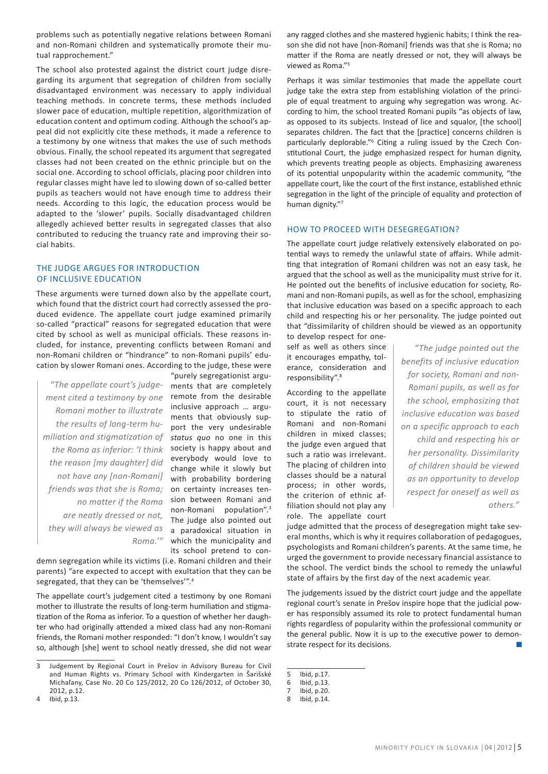problems such as potentially negative relations between Romani and non-Romani children and systematically promote their mutual rapprochement."

The school also protested against the district court judge disregarding its argument that segregation of children from socially disadvantaged environment was necessary to apply individual teaching methods. In concrete terms, these methods included slower pace of education, multiple repetition, algorithmization of education content and optimum coding. Although the school's appeal did not explicitly cite these methods, it made a reference to a testimony by one witness that makes the use of such methods obvious. Finally, the school repeated its argument that segregated classes had not been created on the ethnic principle but on the social one. According to school officials, placing poor children into regular classes might have led to slowing down of so-called better pupils as teachers would not have enough time to address their needs. According to this logic, the education process would be adapted to the 'slower' pupils. Socially disadvantaged children allegedly achieved better results in segregated classes that also contributed to reducing the truancy rate and improving their social habits.

### The Judge Argues for Introduction of Inclusive Education

These arguments were turned down also by the appellate court, which found that the district court had correctly assessed the produced evidence. The appellate court judge examined primarily so-called "practical" reasons for segregated education that were cited by school as well as municipal officials. These reasons included, for instance, preventing conflicts between Romani and non-Romani children or "hindrance" to non-Romani pupils' education by slower Romani ones. According to the judge, these were

*"The appellate court's judgement cited a testimony by one Romani mother to illustrate the results of long-term humiliation and stigmatization of the Roma as inferior: 'I think the reason [my daughter] did not have any [non-Romani] friends was that she is Roma; no matter if the Roma are neatly dressed or not, they will always be viewed as*  a paradoxical situation in *Roma.'"*

"purely segregationist arguments that are completely remote from the desirable inclusive approach … arguments that obviously support the very undesirable *status quo* no one in this society is happy about and everybody would love to change while it slowly but with probability bordering on certainty increases tension between Romani and non-Romani population".3 The judge also pointed out which the municipality and its school pretend to con-

demn segregation while its victims (i.e. Romani children and their parents) "are expected to accept with exultation that they can be segregated, that they can be 'themselves'".<sup>4</sup>

The appellate court's judgement cited a testimony by one Romani mother to illustrate the results of long-term humiliation and stigmatization of the Roma as inferior. To a question of whether her daughter who had originally attended a mixed class had any non-Romani friends, the Romani mother responded: "I don't know, I wouldn't say so, although [she] went to school neatly dressed, she did not wear any ragged clothes and she mastered hygienic habits; I think the reason she did not have [non-Romani] friends was that she is Roma; no matter if the Roma are neatly dressed or not, they will always be viewed as Roma."5

Perhaps it was similar testimonies that made the appellate court judge take the extra step from establishing violation of the principle of equal treatment to arguing why segregation was wrong. According to him, the school treated Romani pupils "as objects of law, as opposed to its subjects. Instead of lice and squalor, [the school] separates children. The fact that the [practice] concerns children is particularly deplorable."<sup>6</sup> Citing a ruling issued by the Czech Constitutional Court, the judge emphasized respect for human dignity, which prevents treating people as objects. Emphasizing awareness of its potential unpopularity within the academic community, "the appellate court, like the court of the first instance, established ethnic segregation in the light of the principle of equality and protection of human dignity."<sup>7</sup>

#### How to Proceed with Desegregation?

The appellate court judge relatively extensively elaborated on potential ways to remedy the unlawful state of affairs. While admitting that integration of Romani children was not an easy task, he argued that the school as well as the municipality must strive for it. He pointed out the benefits of inclusive education for society, Romani and non-Romani pupils, as well as for the school, emphasizing that inclusive education was based on a specific approach to each child and respecting his or her personality. The judge pointed out that "dissimilarity of children should be viewed as an opportunity

to develop respect for oneself as well as others since it encourages empathy, tolerance, consideration and responsibility".<sup>8</sup>

According to the appellate court, it is not necessary to stipulate the ratio of Romani and non-Romani children in mixed classes; the judge even argued that such a ratio was irrelevant. The placing of children into classes should be a natural process; in other words, the criterion of ethnic affiliation should not play any role. The appellate court

*"The judge pointed out the benefits of inclusive education for society, Romani and non-Romani pupils, as well as for the school, emphasizing that inclusive education was based on a specific approach to each child and respecting his or her personality. Dissimilarity of children should be viewed as an opportunity to develop respect for oneself as well as others."*

judge admitted that the process of desegregation might take several months, which is why it requires collaboration of pedagogues, psychologists and Romani children's parents. At the same time, he urged the government to provide necessary financial assistance to the school. The verdict binds the school to remedy the unlawful state of affairs by the first day of the next academic year.

The judgements issued by the district court judge and the appellate regional court's senate in Prešov inspire hope that the judicial power has responsibly assumed its role to protect fundamental human rights regardless of popularity within the professional community or the general public. Now it is up to the executive power to demonstrate respect for its decisions.

5 Ibid, p.17.

<sup>3</sup> Judgement by Regional Court in Prešov in Advisory Bureau for Civil and Human Rights vs. Primary School with Kindergarten in Šarišské Michaľany, Case No. 20 Co 125/2012, 20 Co 126/2012, of October 30, 2012, p.12.

<sup>4</sup> Ibid, p.13.

<sup>6</sup> Ibid, p.13.

<sup>7</sup> Ibid, p.20.<br>8 Ibid. p.14.

Ibid, p.14.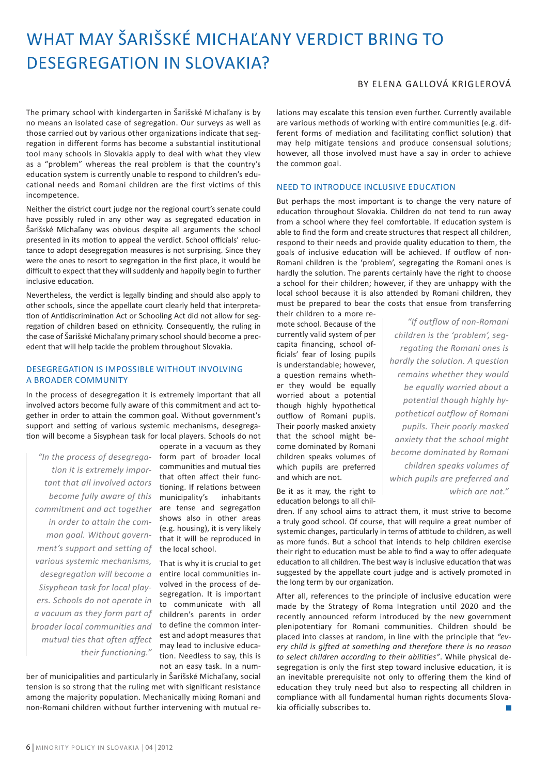# What May Šarišské Michaľany Verdict Bring to Desegregation in Slovakia?

# By Elena Gallová Kriglerová

The primary school with kindergarten in Šarišské Michaľany is by no means an isolated case of segregation. Our surveys as well as those carried out by various other organizations indicate that segregation in different forms has become a substantial institutional tool many schools in Slovakia apply to deal with what they view as a "problem" whereas the real problem is that the country's education system is currently unable to respond to children's educational needs and Romani children are the first victims of this incompetence.

Neither the district court judge nor the regional court's senate could have possibly ruled in any other way as segregated education in Šarišské Michaľany was obvious despite all arguments the school presented in its motion to appeal the verdict. School officials' reluctance to adopt desegregation measures is not surprising. Since they were the ones to resort to segregation in the first place, it would be difficult to expect that they will suddenly and happily begin to further inclusive education.

Nevertheless, the verdict is legally binding and should also apply to other schools, since the appellate court clearly held that interpretation of Antidiscrimination Act or Schooling Act did not allow for segregation of children based on ethnicity. Consequently, the ruling in the case of Šarišské Michaľany primary school should become a precedent that will help tackle the problem throughout Slovakia.

# Desegregation Is Impossible without Involving a Broader Community

In the process of desegregation it is extremely important that all involved actors become fully aware of this commitment and act together in order to attain the common goal. Without government's support and setting of various systemic mechanisms, desegregation will become a Sisyphean task for local players. Schools do not

*"In the process of desegrega-*form part of broader local *tion it is extremely important that all involved actors become fully aware of this commitment and act together in order to attain the common goal. Without government's support and setting of various systemic mechanisms, desegregation will become a Sisyphean task for local players. Schools do not operate in a vacuum as they form part of broader local communities and mutual ties that often affect their functioning."*

operate in a vacuum as they communities and mutual ties that often affect their functioning. If relations between municipality's inhabitants are tense and segregation shows also in other areas (e.g. housing), it is very likely that it will be reproduced in the local school.

That is why it is crucial to get entire local communities involved in the process of desegregation. It is important to communicate with all children's parents in order to define the common interest and adopt measures that may lead to inclusive education. Needless to say, this is not an easy task. In a num-

ber of municipalities and particularly in Šarišské Michaľany, social tension is so strong that the ruling met with significant resistance among the majority population. Mechanically mixing Romani and non-Romani children without further intervening with mutual relations may escalate this tension even further. Currently available are various methods of working with entire communities (e.g. different forms of mediation and facilitating conflict solution) that may help mitigate tensions and produce consensual solutions; however, all those involved must have a say in order to achieve the common goal.

### Need to Introduce Inclusive Education

But perhaps the most important is to change the very nature of education throughout Slovakia. Children do not tend to run away from a school where they feel comfortable. If education system is able to find the form and create structures that respect all children, respond to their needs and provide quality education to them, the goals of inclusive education will be achieved. If outflow of non-Romani children is the 'problem', segregating the Romani ones is hardly the solution. The parents certainly have the right to choose a school for their children; however, if they are unhappy with the local school because it is also attended by Romani children, they must be prepared to bear the costs that ensue from transferring

their children to a more remote school. Because of the currently valid system of per capita financing, school officials' fear of losing pupils is understandable; however, a question remains whether they would be equally worried about a potential though highly hypothetical outflow of Romani pupils. Their poorly masked anxiety that the school might become dominated by Romani children speaks volumes of which pupils are preferred and which are not.

Be it as it may, the right to education belongs to all chil-

*"If outflow of non-Romani children is the 'problem', segregating the Romani ones is hardly the solution. A question remains whether they would be equally worried about a potential though highly hypothetical outflow of Romani pupils. Their poorly masked anxiety that the school might become dominated by Romani children speaks volumes of which pupils are preferred and which are not."*

dren. If any school aims to attract them, it must strive to become a truly good school. Of course, that will require a great number of systemic changes, particularly in terms of attitude to children, as well as more funds. But a school that intends to help children exercise their right to education must be able to find a way to offer adequate education to all children. The best way is inclusive education that was suggested by the appellate court judge and is actively promoted in the long term by our organization.

After all, references to the principle of inclusive education were made by the Strategy of Roma Integration until 2020 and the recently announced reform introduced by the new government plenipotentiary for Romani communities. Children should be placed into classes at random, in line with the principle that *"every child is gifted at something and therefore there is no reason to select children according to their abilities"*. While physical desegregation is only the first step toward inclusive education, it is an inevitable prerequisite not only to offering them the kind of education they truly need but also to respecting all children in compliance with all fundamental human rights documents Slovakia officially subscribes to.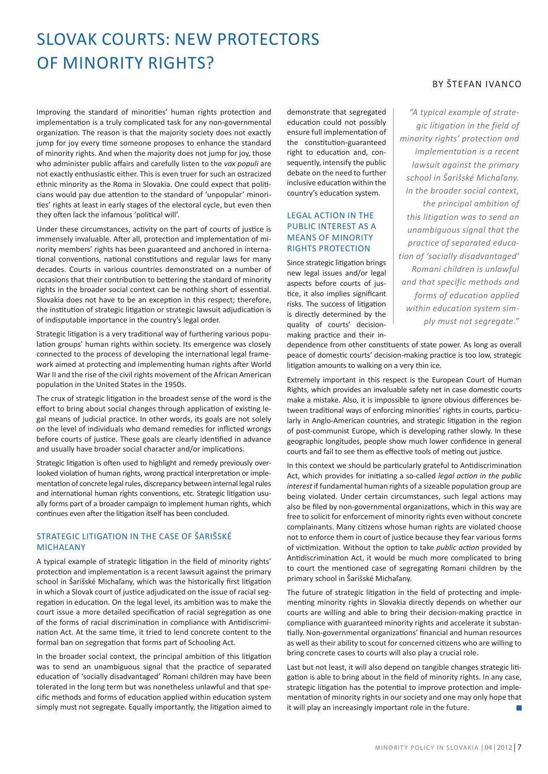# Slovak Courts: New Protectors of Minority Rights?

Improving the standard of minorities' human rights protection and implementation is a truly complicated task for any non-governmental organization. The reason is that the majority society does not exactly jump for joy every time someone proposes to enhance the standard of minority rights. And when the majority does not jump for joy, those who administer public affairs and carefully listen to the *vox populi* are not exactly enthusiastic either. This is even truer for such an ostracized ethnic minority as the Roma in Slovakia. One could expect that politicians would pay due attention to the standard of 'unpopular' minorities' rights at least in early stages of the electoral cycle, but even then they often lack the infamous 'political will'.

Under these circumstances, activity on the part of courts of justice is immensely invaluable. After all, protection and implementation of minority members' rights has been guaranteed and anchored in international conventions, national constitutions and regular laws for many decades. Courts in various countries demonstrated on a number of occasions that their contribution to bettering the standard of minority rights in the broader social context can be nothing short of essential. Slovakia does not have to be an exception in this respect; therefore, the institution of strategic litigation or strategic lawsuit adjudication is of indisputable importance in the country's legal order.

Strategic litigation is a very traditional way of furthering various population groups' human rights within society. Its emergence was closely connected to the process of developing the international legal framework aimed at protecting and implementing human rights after World War II and the rise of the civil rights movement of the African American population in the United States in the 1950s.

The crux of strategic litigation in the broadest sense of the word is the effort to bring about social changes through application of existing legal means of judicial practice. In other words, its goals are not solely on the level of individuals who demand remedies for inflicted wrongs before courts of justice. These goals are clearly identified in advance and usually have broader social character and/or implications.

Strategic litigation is often used to highlight and remedy previously overlooked violation of human rights, wrong practical interpretation or implementation of concrete legal rules, discrepancy between internal legal rules and international human rights conventions, etc. Strategic litigation usually forms part of a broader campaign to implement human rights, which continues even after the litigation itself has been concluded.

# Strategic Litigation in the Case of Šarišské Michaľany

A typical example of strategic litigation in the field of minority rights' protection and implementation is a recent lawsuit against the primary school in Šarišské Michaľany, which was the historically first litigation in which a Slovak court of justice adjudicated on the issue of racial segregation in education. On the legal level, its ambition was to make the court issue a more detailed specification of racial segregation as one of the forms of racial discrimination in compliance with Antidiscrimination Act. At the same time, it tried to lend concrete content to the formal ban on segregation that forms part of Schooling Act.

In the broader social context, the principal ambition of this litigation was to send an unambiguous signal that the practice of separated education of 'socially disadvantaged' Romani children may have been tolerated in the long term but was nonetheless unlawful and that specific methods and forms of education applied within education system simply must not segregate. Equally importantly, the litigation aimed to demonstrate that segregated education could not possibly ensure full implementation of the constitution-guaranteed right to education and, consequently, intensify the public debate on the need to further inclusive education within the country's education system.

# Legal Action in the PUBLIC INTEREST AS A Means of Minority Rights Protection

Since strategic litigation brings new legal issues and/or legal aspects before courts of justice, it also implies significant risks. The success of litigation is directly determined by the quality of courts' decisionmaking practice and their in-

# By Štefan Ivanco

*"A typical example of strategic litigation in the field of minority rights' protection and implementation is a recent lawsuit against the primary school in Šarišské Michaľany. In the broader social context, the principal ambition of this litigation was to send an unambiguous signal that the practice of separated education of 'socially disadvantaged' Romani children is unlawful and that specific methods and forms of education applied within education system simply must not segregate."*

dependence from other constituents of state power. As long as overall peace of domestic courts' decision-making practice is too low, strategic litigation amounts to walking on a very thin ice.

Extremely important in this respect is the European Court of Human Rights, which provides an invaluable safety net in case domestic courts make a mistake. Also, it is impossible to ignore obvious differences between traditional ways of enforcing minorities' rights in courts, particularly in Anglo-American countries, and strategic litigation in the region of post-communist Europe, which is developing rather slowly. In these geographic longitudes, people show much lower confidence in general courts and fail to see them as effective tools of meting out justice.

In this context we should be particularly grateful to Antidiscrimination Act, which provides for initiating a so-called *legal action in the public interest* if fundamental human rights of a sizeable population group are being violated. Under certain circumstances, such legal actions may also be filed by non-governmental organizations, which in this way are free to solicit for enforcement of minority rights even without concrete complainants. Many citizens whose human rights are violated choose not to enforce them in court of justice because they fear various forms of victimization. Without the option to take *public action* provided by Antidiscrimination Act, it would be much more complicated to bring to court the mentioned case of segregating Romani children by the primary school in Šarišské Michaľany.

The future of strategic litigation in the field of protecting and implementing minority rights in Slovakia directly depends on whether our courts are willing and able to bring their decision-making practice in compliance with guaranteed minority rights and accelerate it substantially. Non-governmental organizations' financial and human resources as well as their ability to scout for concerned citizens who are willing to bring concrete cases to courts will also play a crucial role.

Last but not least, it will also depend on tangible changes strategic litigation is able to bring about in the field of minority rights. In any case, strategic litigation has the potential to improve protection and implementation of minority rights in our society and one may only hope that it will play an increasingly important role in the future.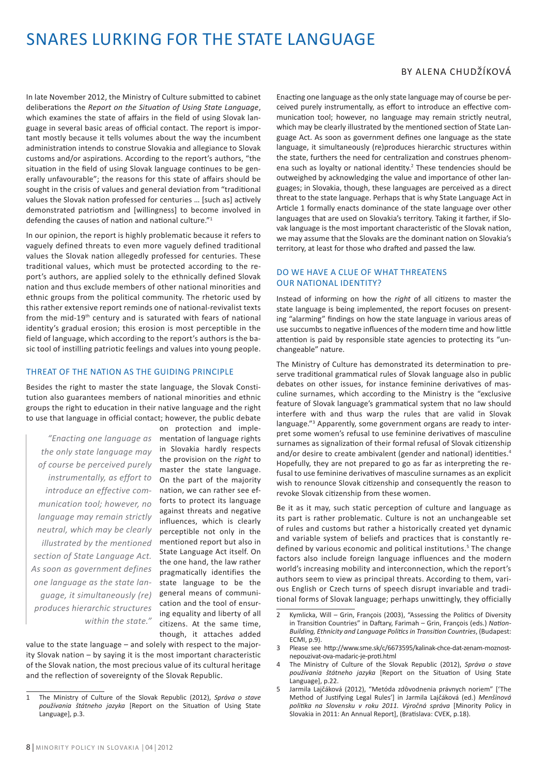# SNARES LURKING FOR THE STATE LANGUAGE

In late November 2012, the Ministry of Culture submitted to cabinet deliberations the *Report on the Situation of Using State Language*, which examines the state of affairs in the field of using Slovak language in several basic areas of official contact. The report is important mostly because it tells volumes about the way the incumbent administration intends to construe Slovakia and allegiance to Slovak customs and/or aspirations. According to the report's authors, "the situation in the field of using Slovak language continues to be generally unfavourable"; the reasons for this state of affairs should be sought in the crisis of values and general deviation from "traditional values the Slovak nation professed for centuries … [such as] actively demonstrated patriotism and [willingness] to become involved in defending the causes of nation and national culture."<sup>1</sup>

In our opinion, the report is highly problematic because it refers to vaguely defined threats to even more vaguely defined traditional values the Slovak nation allegedly professed for centuries. These traditional values, which must be protected according to the report's authors, are applied solely to the ethnically defined Slovak nation and thus exclude members of other national minorities and ethnic groups from the political community. The rhetoric used by this rather extensive report reminds one of national-revivalist texts from the mid-19th century and is saturated with fears of national identity's gradual erosion; this erosion is most perceptible in the field of language, which according to the report's authors is the basic tool of instilling patriotic feelings and values into young people.

#### Threat of the Nation as the Guiding Principle

Besides the right to master the state language, the Slovak Constitution also guarantees members of national minorities and ethnic groups the right to education in their native language and the right to use that language in official contact; however, the public debate

*"Enacting one language as the only state language may of course be perceived purely instrumentally, as effort to introduce an effective communication tool; however, no language may remain strictly neutral, which may be clearly illustrated by the mentioned section of State Language Act. As soon as government defines one language as the state language, it simultaneously (re) produces hierarchic structures within the state."*

on protection and implementation of language rights in Slovakia hardly respects the provision on the *right* to master the state language. On the part of the majority nation, we can rather see efforts to protect its language against threats and negative influences, which is clearly perceptible not only in the mentioned report but also in State Language Act itself. On the one hand, the law rather pragmatically identifies the state language to be the general means of communication and the tool of ensuring equality and liberty of all citizens. At the same time, though, it attaches added

value to the state language – and solely with respect to the majority Slovak nation – by saying it is the most important characteristic of the Slovak nation, the most precious value of its cultural heritage and the reflection of sovereignty of the Slovak Republic.

# By Alena Chudžíková

Enacting one language as the only state language may of course be perceived purely instrumentally, as effort to introduce an effective communication tool; however, no language may remain strictly neutral, which may be clearly illustrated by the mentioned section of State Language Act. As soon as government defines one language as the state language, it simultaneously (re)produces hierarchic structures within the state, furthers the need for centralization and construes phenomena such as loyalty or national identity.<sup>2</sup> These tendencies should be outweighed by acknowledging the value and importance of other languages; in Slovakia, though, these languages are perceived as a direct threat to the state language. Perhaps that is why State Language Act in Article 1 formally enacts dominance of the state language over other languages that are used on Slovakia's territory. Taking it farther, if Slovak language is the most important characteristic of the Slovak nation, we may assume that the Slovaks are the dominant nation on Slovakia's territory, at least for those who drafted and passed the law.

### Do We Have a Clue of What Threatens OUR NATIONAL IDENTITY?

Instead of informing on how the *right* of all citizens to master the state language is being implemented, the report focuses on presenting "alarming" findings on how the state language in various areas of use succumbs to negative influences of the modern time and how little attention is paid by responsible state agencies to protecting its "unchangeable" nature.

The Ministry of Culture has demonstrated its determination to preserve traditional grammatical rules of Slovak language also in public debates on other issues, for instance feminine derivatives of masculine surnames, which according to the Ministry is the "exclusive feature of Slovak language's grammatical system that no law should interfere with and thus warp the rules that are valid in Slovak language."3 Apparently, some government organs are ready to interpret some women's refusal to use feminine derivatives of masculine surnames as signalization of their formal refusal of Slovak citizenship and/or desire to create ambivalent (gender and national) identities.<sup>4</sup> Hopefully, they are not prepared to go as far as interpreting the refusal to use feminine derivatives of masculine surnames as an explicit wish to renounce Slovak citizenship and consequently the reason to revoke Slovak citizenship from these women.

Be it as it may, such static perception of culture and language as its part is rather problematic. Culture is not an unchangeable set of rules and customs but rather a historically created yet dynamic and variable system of beliefs and practices that is constantly redefined by various economic and political institutions.<sup>5</sup> The change factors also include foreign language influences and the modern world's increasing mobility and interconnection, which the report's authors seem to view as principal threats. According to them, various English or Czech turns of speech disrupt invariable and traditional forms of Slovak language; perhaps unwittingly, they officially

<sup>1</sup> The Ministry of Culture of the Slovak Republic (2012), *Správa o stave používania štátneho jazyka* [Report on the Situation of Using State Language], p.3.

<sup>2</sup> Kymlicka, Will – Grin, François (2003), "Assessing the Politics of Diversity in Transition Countries" in Daftary, Farimah – Grin, François (eds.) *Nation-Building, Ethnicity and Language Politics in Transition Countries*, (Budapest: ECMI, p.9).

<sup>3</sup> Please see http://www.sme.sk/c/6673595/kalinak-chce-dat-zenam-moznostnepouzivat-ova-madaric-je-proti.html

<sup>4</sup> The Ministry of Culture of the Slovak Republic (2012), *Správa o stave používania štátneho jazyka* [Report on the Situation of Using State Language], p.22.

<sup>5</sup> Jarmila Lajčáková (2012), "Metóda zdôvodnenia právnych noriem" ['The Method of Justifying Legal Rules'] in Jarmila Lajčáková (ed.) *Menšinová politika na Slovensku v roku 2011. Výročná správa* [Minority Policy in Slovakia in 2011: An Annual Report], (Bratislava: CVEK, p.18).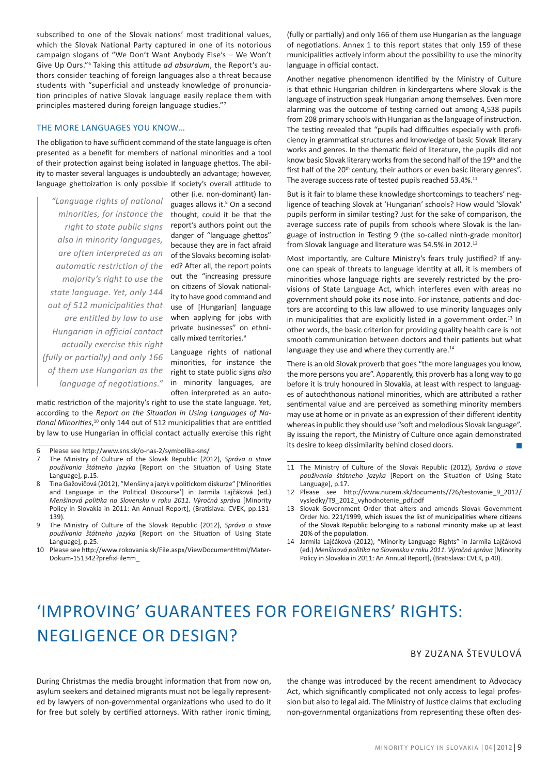subscribed to one of the Slovak nations' most traditional values, which the Slovak National Party captured in one of its notorious campaign slogans of "We Don't Want Anybody Else's – We Won't Give Up Ours."<sup>6</sup> Taking this attitude *ad absurdum*, the Report's authors consider teaching of foreign languages also a threat because students with "superficial and unsteady knowledge of pronunciation principles of native Slovak language easily replace them with principles mastered during foreign language studies."<sup>7</sup>

#### The More Languages You Know…

The obligation to have sufficient command of the state language is often presented as a benefit for members of national minorities and a tool of their protection against being isolated in language ghettos. The ability to master several languages is undoubtedly an advantage; however, language ghettoization is only possible if society's overall attitude to

*"Language rights of national minorities, for instance the right to state public signs also in minority languages, are often interpreted as an automatic restriction of the majority's right to use the state language. Yet, only 144 out of 512 municipalities that are entitled by law to use Hungarian in official contact actually exercise this right (fully or partially) and only 166 of them use Hungarian as the language of negotiations."*

other (i.e. non-dominant) languages allows it.<sup>8</sup> On a second thought, could it be that the report's authors point out the danger of "language ghettos" because they are in fact afraid of the Slovaks becoming isolated? After all, the report points out the "increasing pressure on citizens of Slovak nationality to have good command and use of [Hungarian] language when applying for jobs with private businesses" on ethnically mixed territories.<sup>9</sup>

Language rights of national minorities, for instance the right to state public signs *also* in minority languages, are often interpreted as an auto-

matic restriction of the majority's right to use the state language. Yet, according to the *Report on the Situation in Using Languages of National Minorities*, <sup>10</sup> only 144 out of 512 municipalities that are entitled by law to use Hungarian in official contact actually exercise this right (fully or partially) and only 166 of them use Hungarian as the language of negotiations. Annex 1 to this report states that only 159 of these municipalities actively inform about the possibility to use the minority language in official contact.

Another negative phenomenon identified by the Ministry of Culture is that ethnic Hungarian children in kindergartens where Slovak is the language of instruction speak Hungarian among themselves. Even more alarming was the outcome of testing carried out among 4,538 pupils from 208 primary schools with Hungarian as the language of instruction. The testing revealed that "pupils had difficulties especially with proficiency in grammatical structures and knowledge of basic Slovak literary works and genres. In the thematic field of literature, the pupils did not know basic Slovak literary works from the second half of the 19<sup>th</sup> and the first half of the 20<sup>th</sup> century, their authors or even basic literary genres". The average success rate of tested pupils reached 53.4%.<sup>11</sup>

But is it fair to blame these knowledge shortcomings to teachers' negligence of teaching Slovak at 'Hungarian' schools? How would 'Slovak' pupils perform in similar testing? Just for the sake of comparison, the average success rate of pupils from schools where Slovak is the language of instruction in Testing 9 (the so-called ninth-grade monitor) from Slovak language and literature was 54.5% in 2012.<sup>12</sup>

Most importantly, are Culture Ministry's fears truly justified? If anyone can speak of threats to language identity at all, it is members of minorities whose language rights are severely restricted by the provisions of State Language Act, which interferes even with areas no government should poke its nose into. For instance, patients and doctors are according to this law allowed to use minority languages only in municipalities that are explicitly listed in a government order.<sup>13</sup> In other words, the basic criterion for providing quality health care is not smooth communication between doctors and their patients but what language they use and where they currently are.<sup>14</sup>

There is an old Slovak proverb that goes "the more languages you know, the more persons you are". Apparently, this proverb has a long way to go before it is truly honoured in Slovakia, at least with respect to languages of autochthonous national minorities, which are attributed a rather sentimental value and are perceived as something minority members may use at home or in private as an expression of their different identity whereas in public they should use "soft and melodious Slovak language". By issuing the report, the Ministry of Culture once again demonstrated its desire to keep dissimilarity behind closed doors.

14 Jarmila Lajčáková (2012), "Minority Language Rights" in Jarmila Lajčáková (ed.) *Menšinová politika na Slovensku v roku 2011. Výročná správa* [Minority Policy in Slovakia in 2011: An Annual Report], (Bratislava: CVEK, p.40).

# 'Improving' guarantees for foreigners' rights: negligence or design?

# By Zuzana Števulová

During Christmas the media brought information that from now on, asylum seekers and detained migrants must not be legally represented by lawyers of non-governmental organizations who used to do it for free but solely by certified attorneys. With rather ironic timing,

the change was introduced by the recent amendment to Advocacy Act, which significantly complicated not only access to legal profession but also to legal aid. The Ministry of Justice claims that excluding non-governmental organizations from representing these often des-

<sup>6</sup> Please see http://www.sns.sk/o-nas-2/symbolika-sns/

<sup>7</sup> The Ministry of Culture of the Slovak Republic (2012), *Správa o stave používania štátneho jazyka* [Report on the Situation of Using State Language], p.15.

<sup>8</sup> Tina Gažovičová (2012), "Menšiny a jazyk v politickom diskurze" ['Minorities and Language in the Political Discourse'] in Jarmila Lajčáková (ed.) *Menšinová politika na Slovensku v roku 2011. Výročná správa* [Minority Policy in Slovakia in 2011: An Annual Report], (Bratislava: CVEK, pp.131- 139).

<sup>9</sup> The Ministry of Culture of the Slovak Republic (2012), *Správa o stave používania štátneho jazyka* [Report on the Situation of Using State Language], p.25.

<sup>10</sup> Please see http://www.rokovania.sk/File.aspx/ViewDocumentHtml/Mater-Dokum-151342?prefixFile=m\_

<sup>11</sup> The Ministry of Culture of the Slovak Republic (2012), *Správa o stave používania štátneho jazyka* [Report on the Situation of Using State Language], p.17.

<sup>12</sup> Please see http://www.nucem.sk/documents//26/testovanie\_9\_2012/ vysledky/T9\_2012\_vyhodnotenie\_pdf.pdf

<sup>13</sup> Slovak Government Order that alters and amends Slovak Government Order No. 221/1999, which issues the list of municipalities where citizens of the Slovak Republic belonging to a national minority make up at least 20% of the population.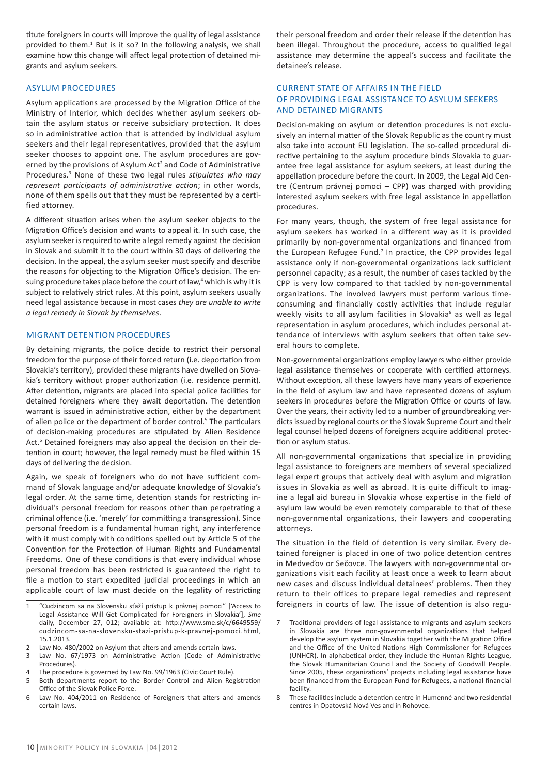titute foreigners in courts will improve the quality of legal assistance provided to them.<sup>1</sup> But is it so? In the following analysis, we shall examine how this change will affect legal protection of detained migrants and asylum seekers.

### Asylum Procedures

Asylum applications are processed by the Migration Office of the Ministry of Interior, which decides whether asylum seekers obtain the asylum status or receive subsidiary protection. It does so in administrative action that is attended by individual asylum seekers and their legal representatives, provided that the asylum seeker chooses to appoint one. The asylum procedures are governed by the provisions of Asylum Act<sup>2</sup> and Code of Administrative Procedures.3 None of these two legal rules *stipulates who may represent participants of administrative action*; in other words, none of them spells out that they must be represented by a certified attorney.

A different situation arises when the asylum seeker objects to the Migration Office's decision and wants to appeal it. In such case, the asylum seeker is required to write a legal remedy against the decision in Slovak and submit it to the court within 30 days of delivering the decision. In the appeal, the asylum seeker must specify and describe the reasons for objecting to the Migration Office's decision. The ensuing procedure takes place before the court of law,<sup>4</sup> which is why it is subject to relatively strict rules. At this point, asylum seekers usually need legal assistance because in most cases *they are unable to write a legal remedy in Slovak by themselves*.

#### Migrant Detention Procedures

By detaining migrants, the police decide to restrict their personal freedom for the purpose of their forced return (i.e. deportation from Slovakia's territory), provided these migrants have dwelled on Slovakia's territory without proper authorization (i.e. residence permit). After detention, migrants are placed into special police facilities for detained foreigners where they await deportation. The detention warrant is issued in administrative action, either by the department of alien police or the department of border control.<sup>5</sup> The particulars of decision-making procedures are stipulated by Alien Residence Act.<sup>6</sup> Detained foreigners may also appeal the decision on their detention in court; however, the legal remedy must be filed within 15 days of delivering the decision.

Again, we speak of foreigners who do not have sufficient command of Slovak language and/or adequate knowledge of Slovakia's legal order. At the same time, detention stands for restricting individual's personal freedom for reasons other than perpetrating a criminal offence (i.e. 'merely' for committing a transgression). Since personal freedom is a fundamental human right, any interference with it must comply with conditions spelled out by Article 5 of the Convention for the Protection of Human Rights and Fundamental Freedoms. One of these conditions is that every individual whose personal freedom has been restricted is guaranteed the right to file a motion to start expedited judicial proceedings in which an applicable court of law must decide on the legality of restricting

their personal freedom and order their release if the detention has been illegal. Throughout the procedure, access to qualified legal assistance may determine the appeal's success and facilitate the detainee's release.

### Current State of Affairs in the Field of Providing Legal Assistance to Asylum Seekers and Detained Migrants

Decision-making on asylum or detention procedures is not exclusively an internal matter of the Slovak Republic as the country must also take into account EU legislation. The so-called procedural directive pertaining to the asylum procedure binds Slovakia to guarantee free legal assistance for asylum seekers, at least during the appellation procedure before the court. In 2009, the Legal Aid Centre (Centrum právnej pomoci – CPP) was charged with providing interested asylum seekers with free legal assistance in appellation procedures.

For many years, though, the system of free legal assistance for asylum seekers has worked in a different way as it is provided primarily by non-governmental organizations and financed from the European Refugee Fund.<sup>7</sup> In practice, the CPP provides legal assistance only if non-governmental organizations lack sufficient personnel capacity; as a result, the number of cases tackled by the CPP is very low compared to that tackled by non-governmental organizations. The involved lawyers must perform various timeconsuming and financially costly activities that include regular weekly visits to all asylum facilities in Slovakia<sup>8</sup> as well as legal representation in asylum procedures, which includes personal attendance of interviews with asylum seekers that often take several hours to complete.

Non-governmental organizations employ lawyers who either provide legal assistance themselves or cooperate with certified attorneys. Without exception, all these lawyers have many years of experience in the field of asylum law and have represented dozens of asylum seekers in procedures before the Migration Office or courts of law. Over the years, their activity led to a number of groundbreaking verdicts issued by regional courts or the Slovak Supreme Court and their legal counsel helped dozens of foreigners acquire additional protection or asylum status.

All non-governmental organizations that specialize in providing legal assistance to foreigners are members of several specialized legal expert groups that actively deal with asylum and migration issues in Slovakia as well as abroad. It is quite difficult to imagine a legal aid bureau in Slovakia whose expertise in the field of asylum law would be even remotely comparable to that of these non-governmental organizations, their lawyers and cooperating attorneys.

The situation in the field of detention is very similar. Every detained foreigner is placed in one of two police detention centres in Medveďov or Sečovce. The lawyers with non-governmental organizations visit each facility at least once a week to learn about new cases and discuss individual detainees' problems. Then they return to their offices to prepare legal remedies and represent foreigners in courts of law. The issue of detention is also regu-

<sup>1</sup> "Cudzincom sa na Slovensku sťaží prístup k právnej pomoci" ['Access to Legal Assistance Will Get Complicated for Foreigners in Slovakia'], *Sme* daily, December 27, 012; available at: http://www.sme.sk/c/6649559/ cudzincom-sa-na-slovensku-stazi-pristup-k-pravnej-pomoci.html, 15.1.2013.

<sup>2</sup> Law No. 480/2002 on Asylum that alters and amends certain laws.

<sup>3</sup> Law No. 67/1973 on Administrative Action (Code of Administrative Procedures).

<sup>4</sup> The procedure is governed by Law No. 99/1963 (Civic Court Rule).

<sup>5</sup> Both departments report to the Border Control and Alien Registration Office of the Slovak Police Force.

<sup>6</sup> Law No. 404/2011 on Residence of Foreigners that alters and amends certain laws.

<sup>7</sup> Traditional providers of legal assistance to migrants and asylum seekers in Slovakia are three non-governmental organizations that helped develop the asylum system in Slovakia together with the Migration Office and the Office of the United Nations High Commissioner for Refugees (UNHCR). In alphabetical order, they include the Human Rights League, the Slovak Humanitarian Council and the Society of Goodwill People. Since 2005, these organizations' projects including legal assistance have been financed from the European Fund for Refugees, a national financial facility.

<sup>8</sup> These facilities include a detention centre in Humenné and two residential centres in Opatovská Nová Ves and in Rohovce.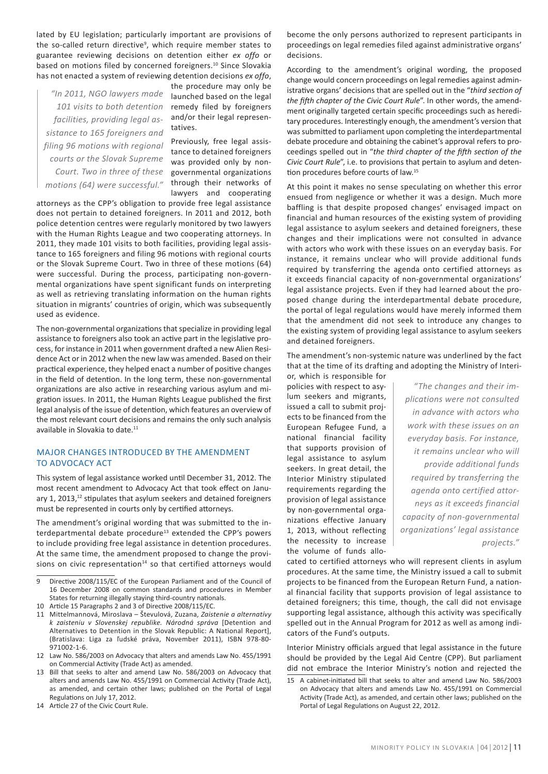lated by EU legislation; particularly important are provisions of the so-called return directive<sup>9</sup>, which require member states to guarantee reviewing decisions on detention either *ex offo* or based on motions filed by concerned foreigners.<sup>10</sup> Since Slovakia has not enacted a system of reviewing detention decisions *ex offo*,

*"In 2011, NGO lawyers made 101 visits to both detention facilities, providing legal assistance to 165 foreigners and filing 96 motions with regional courts or the Slovak Supreme Court. Two in three of these motions (64) were successful."*

the procedure may only be launched based on the legal remedy filed by foreigners and/or their legal representatives.

Previously, free legal assistance to detained foreigners was provided only by nongovernmental organizations through their networks of lawyers and cooperating

attorneys as the CPP's obligation to provide free legal assistance does not pertain to detained foreigners. In 2011 and 2012, both police detention centres were regularly monitored by two lawyers with the Human Rights League and two cooperating attorneys. In 2011, they made 101 visits to both facilities, providing legal assistance to 165 foreigners and filing 96 motions with regional courts or the Slovak Supreme Court. Two in three of these motions (64) were successful. During the process, participating non-governmental organizations have spent significant funds on interpreting as well as retrieving translating information on the human rights situation in migrants' countries of origin, which was subsequently used as evidence.

The non-governmental organizations that specialize in providing legal assistance to foreigners also took an active part in the legislative process, for instance in 2011 when government drafted a new Alien Residence Act or in 2012 when the new law was amended. Based on their practical experience, they helped enact a number of positive changes in the field of detention. In the long term, these non-governmental organizations are also active in researching various asylum and migration issues. In 2011, the Human Rights League published the first legal analysis of the issue of detention, which features an overview of the most relevant court decisions and remains the only such analysis available in Slovakia to date.<sup>11</sup>

### Major Changes Introduced by the Amendment to Advocacy Act

This system of legal assistance worked until December 31, 2012. The most recent amendment to Advocacy Act that took effect on January 1, 2013,<sup>12</sup> stipulates that asylum seekers and detained foreigners must be represented in courts only by certified attorneys.

The amendment's original wording that was submitted to the interdepartmental debate procedure<sup>13</sup> extended the CPP's powers to include providing free legal assistance in detention procedures. At the same time, the amendment proposed to change the provisions on civic representation $14$  so that certified attorneys would

14 Article 27 of the Civic Court Rule.

become the only persons authorized to represent participants in proceedings on legal remedies filed against administrative organs' decisions.

According to the amendment's original wording, the proposed change would concern proceedings on legal remedies against administrative organs' decisions that are spelled out in the "*third section of the fifth chapter of the Civic Court Rule*". In other words, the amendment originally targeted certain specific proceedings such as hereditary procedures. Interestingly enough, the amendment's version that was submitted to parliament upon completing the interdepartmental debate procedure and obtaining the cabinet's approval refers to proceedings spelled out in "*the third chapter of the fifth section of the Civic Court Rule*", i.e. to provisions that pertain to asylum and detention procedures before courts of law.15

At this point it makes no sense speculating on whether this error ensued from negligence or whether it was a design. Much more baffling is that despite proposed changes' envisaged impact on financial and human resources of the existing system of providing legal assistance to asylum seekers and detained foreigners, these changes and their implications were not consulted in advance with actors who work with these issues on an everyday basis. For instance, it remains unclear who will provide additional funds required by transferring the agenda onto certified attorneys as it exceeds financial capacity of non-governmental organizations' legal assistance projects. Even if they had learned about the proposed change during the interdepartmental debate procedure, the portal of legal regulations would have merely informed them that the amendment did not seek to introduce any changes to the existing system of providing legal assistance to asylum seekers and detained foreigners.

The amendment's non-systemic nature was underlined by the fact that at the time of its drafting and adopting the Ministry of Interi-

or, which is responsible for policies with respect to asylum seekers and migrants, issued a call to submit projects to be financed from the European Refugee Fund, a national financial facility that supports provision of legal assistance to asylum seekers. In great detail, the Interior Ministry stipulated requirements regarding the provision of legal assistance by non-governmental organizations effective January 1, 2013, without reflecting the necessity to increase the volume of funds allo-

*"The changes and their implications were not consulted in advance with actors who work with these issues on an everyday basis. For instance, it remains unclear who will provide additional funds required by transferring the agenda onto certified attorneys as it exceeds financial capacity of non-governmental organizations' legal assistance projects."*

cated to certified attorneys who will represent clients in asylum procedures. At the same time, the Ministry issued a call to submit projects to be financed from the European Return Fund, a national financial facility that supports provision of legal assistance to detained foreigners; this time, though, the call did not envisage supporting legal assistance, although this activity was specifically spelled out in the Annual Program for 2012 as well as among indicators of the Fund's outputs.

Interior Ministry officials argued that legal assistance in the future should be provided by the Legal Aid Centre (CPP). But parliament did not embrace the Interior Ministry's notion and rejected the

<sup>9</sup> Directive 2008/115/EC of the European Parliament and of the Council of 16 December 2008 on common standards and procedures in Member States for returning illegally staying third-country nationals.

<sup>10</sup> Article 15 Paragraphs 2 and 3 of Directive 2008/115/EC.

<sup>11</sup> Mittelmannová, Miroslava – Števulová, Zuzana, *Zaistenie a alternatívy k zaisteniu v Slovenskej republike. Národná správa* [Detention and Alternatives to Detention in the Slovak Republic: A National Report], (Bratislava: Liga za ľudské práva, November 2011), ISBN 978-80- 971002-1-6.

<sup>12</sup> Law No. 586/2003 on Advocacy that alters and amends Law No. 455/1991 on Commercial Activity (Trade Act) as amended.

<sup>13</sup> Bill that seeks to alter and amend Law No. 586/2003 on Advocacy that alters and amends Law No. 455/1991 on Commercial Activity (Trade Act), as amended, and certain other laws; published on the Portal of Legal Regulations on July 17, 2012.

<sup>15</sup> A cabinet-initiated bill that seeks to alter and amend Law No. 586/2003 on Advocacy that alters and amends Law No. 455/1991 on Commercial Activity (Trade Act), as amended, and certain other laws; published on the Portal of Legal Regulations on August 22, 2012.